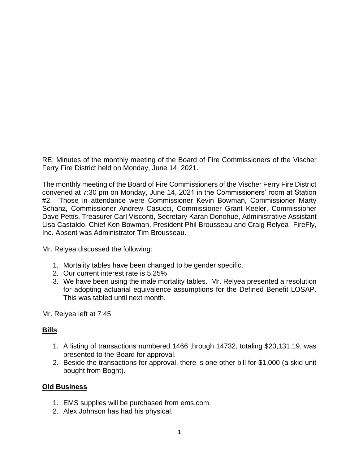RE: Minutes of the monthly meeting of the Board of Fire Commissioners of the Vischer Ferry Fire District held on Monday, June 14, 2021.

The monthly meeting of the Board of Fire Commissioners of the Vischer Ferry Fire District convened at 7:30 pm on Monday, June 14, 2021 in the Commissioners' room at Station #2. Those in attendance were Commissioner Kevin Bowman, Commissioner Marty Schanz, Commissioner Andrew Casucci, Commissioner Grant Keeler, Commissioner Dave Pettis, Treasurer Carl Visconti, Secretary Karan Donohue, Administrative Assistant Lisa Castaldo, Chief Ken Bowman, President Phil Brousseau and Craig Relyea- FireFly, Inc. Absent was Administrator Tim Brousseau.

Mr. Relyea discussed the following:

- 1. Mortality tables have been changed to be gender specific.
- 2. Our current interest rate is 5.25%
- 3. We have been using the male mortality tables. Mr. Relyea presented a resolution for adopting actuarial equivalence assumptions for the Defined Benefit LOSAP. This was tabled until next month.

Mr. Relyea left at 7:45.

# **Bills**

- 1. A listing of transactions numbered 1466 through 14732, totaling \$20,131.19, was presented to the Board for approval.
- 2. Beside the transactions for approval, there is one other bill for \$1,000 (a skid unit bought from Boght).

# **Old Business**

- 1. EMS supplies will be purchased from ems.com.
- 2. Alex Johnson has had his physical.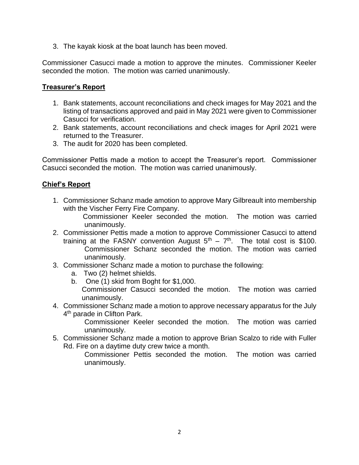3. The kayak kiosk at the boat launch has been moved.

Commissioner Casucci made a motion to approve the minutes. Commissioner Keeler seconded the motion. The motion was carried unanimously.

### **Treasurer's Report**

- 1. Bank statements, account reconciliations and check images for May 2021 and the listing of transactions approved and paid in May 2021 were given to Commissioner Casucci for verification.
- 2. Bank statements, account reconciliations and check images for April 2021 were returned to the Treasurer.
- 3. The audit for 2020 has been completed.

Commissioner Pettis made a motion to accept the Treasurer's report. Commissioner Casucci seconded the motion. The motion was carried unanimously.

### **Chief's Report**

1. Commissioner Schanz made amotion to approve Mary Gilbreault into membership with the Vischer Ferry Fire Company.

 Commissioner Keeler seconded the motion. The motion was carried unanimously.

- 2. Commissioner Pettis made a motion to approve Commissioner Casucci to attend training at the FASNY convention August  $5<sup>th</sup> - 7<sup>th</sup>$ . The total cost is \$100. Commissioner Schanz seconded the motion. The motion was carried unanimously.
- 3. Commissioner Schanz made a motion to purchase the following:
	- a. Two (2) helmet shields.
	- b. One (1) skid from Boght for \$1,000. Commissioner Casucci seconded the motion. The motion was carried unanimously.
- 4. Commissioner Schanz made a motion to approve necessary apparatus for the July 4<sup>th</sup> parade in Clifton Park.

Commissioner Keeler seconded the motion. The motion was carried unanimously.

5. Commissioner Schanz made a motion to approve Brian Scalzo to ride with Fuller Rd. Fire on a daytime duty crew twice a month.

Commissioner Pettis seconded the motion. The motion was carried unanimously.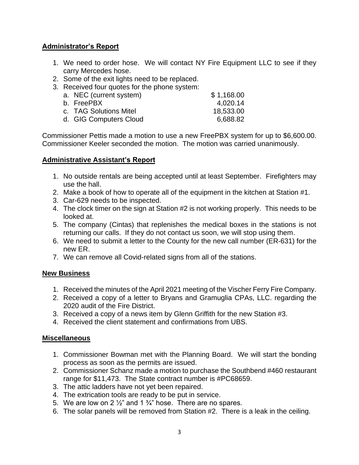# **Administrator's Report**

- 1. We need to order hose. We will contact NY Fire Equipment LLC to see if they carry Mercedes hose.
- 2. Some of the exit lights need to be replaced.
- 3. Received four quotes for the phone system:

| a. NEC (current system) | \$1,168.00 |
|-------------------------|------------|
| b. FreePBX              | 4.020.14   |
| c. TAG Solutions Mitel  | 18,533.00  |
| d. GIG Computers Cloud  | 6,688.82   |

Commissioner Pettis made a motion to use a new FreePBX system for up to \$6,600.00. Commissioner Keeler seconded the motion. The motion was carried unanimously.

### **Administrative Assistant's Report**

- 1. No outside rentals are being accepted until at least September. Firefighters may use the hall.
- 2. Make a book of how to operate all of the equipment in the kitchen at Station #1.
- 3. Car-629 needs to be inspected.
- 4. The clock timer on the sign at Station #2 is not working properly. This needs to be looked at.
- 5. The company (Cintas) that replenishes the medical boxes in the stations is not returning our calls. If they do not contact us soon, we will stop using them.
- 6. We need to submit a letter to the County for the new call number (ER-631) for the new ER.
- 7. We can remove all Covid-related signs from all of the stations.

### **New Business**

- 1. Received the minutes of the April 2021 meeting of the Vischer Ferry Fire Company.
- 2. Received a copy of a letter to Bryans and Gramuglia CPAs, LLC. regarding the 2020 audit of the Fire District.
- 3. Received a copy of a news item by Glenn Griffith for the new Station #3.
- 4. Received the client statement and confirmations from UBS.

### **Miscellaneous**

- 1. Commissioner Bowman met with the Planning Board. We will start the bonding process as soon as the permits are issued.
- 2. Commissioner Schanz made a motion to purchase the Southbend #460 restaurant range for \$11,473. The State contract number is #PC68659.
- 3. The attic ladders have not yet been repaired.
- 4. The extrication tools are ready to be put in service.
- 5. We are low on 2  $\frac{1}{2}$  and 1  $\frac{3}{4}$  hose. There are no spares.
- 6. The solar panels will be removed from Station #2. There is a leak in the ceiling.